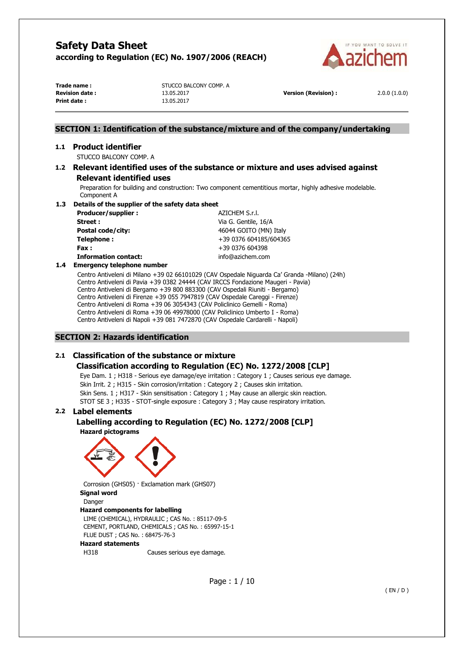

| Trade name:           |  |  |  |
|-----------------------|--|--|--|
| <b>Revision date:</b> |  |  |  |
| Print date:           |  |  |  |

**STUCCO BALCONY COMP. A Revision date :** 13.05.2017 **Version (Revision) :** 2.0.0 (1.0.0) **Print date :** 13.05.2017

# **SECTION 1: Identification of the substance/mixture and of the company/undertaking**

## **1.1 Product identifier**

STUCCO BALCONY COMP. A

## **1.2 Relevant identified uses of the substance or mixture and uses advised against Relevant identified uses**

Preparation for building and construction: Two component cementitious mortar, highly adhesive modelable. Component A

### **1.3 Details of the supplier of the safety data sheet**

**Producer/supplier : AZICHEM S.r.l. Street :**  $V$ ia G. Gentile, 16/A **Postal code/city:**  $46044 \text{ GOITO (MN) Italy}$ **Telephone :**  $+39\,0376\,604185/604365$ **Fax :** +39 0376 604398 **Information contact:** info@azichem.com

# **1.4 Emergency telephone number**

Centro Antiveleni di Milano +39 02 66101029 (CAV Ospedale Niguarda Ca' Granda -Milano) (24h) Centro Antiveleni di Pavia +39 0382 24444 (CAV IRCCS Fondazione Maugeri - Pavia) Centro Antiveleni di Bergamo +39 800 883300 (CAV Ospedali Riuniti - Bergamo) Centro Antiveleni di Firenze +39 055 7947819 (CAV Ospedale Careggi - Firenze) Centro Antiveleni di Roma +39 06 3054343 (CAV Policlinico Gemelli - Roma) Centro Antiveleni di Roma +39 06 49978000 (CAV Policlinico Umberto I - Roma) Centro Antiveleni di Napoli +39 081 7472870 (CAV Ospedale Cardarelli - Napoli)

## **SECTION 2: Hazards identification**

# **2.1 Classification of the substance or mixture**

# **Classification according to Regulation (EC) No. 1272/2008 [CLP]**

Eye Dam. 1 ; H318 - Serious eye damage/eye irritation : Category 1 ; Causes serious eye damage. Skin Irrit. 2 ; H315 - Skin corrosion/irritation : Category 2 ; Causes skin irritation. Skin Sens. 1 ; H317 - Skin sensitisation : Category 1 ; May cause an allergic skin reaction. STOT SE 3 ; H335 - STOT-single exposure : Category 3 ; May cause respiratory irritation.

## **2.2 Label elements**

# **Labelling according to Regulation (EC) No. 1272/2008 [CLP]**

**Hazard pictograms** 



Corrosion (GHS05) · Exclamation mark (GHS07) **Signal word**  Danger

### **Hazard components for labelling**

LIME (CHEMICAL), HYDRAULIC ; CAS No. : 85117-09-5 CEMENT, PORTLAND, CHEMICALS ; CAS No. : 65997-15-1 FLUE DUST ; CAS No. : 68475-76-3

### **Hazard statements**

H318 Causes serious eye damage.

Page : 1 / 10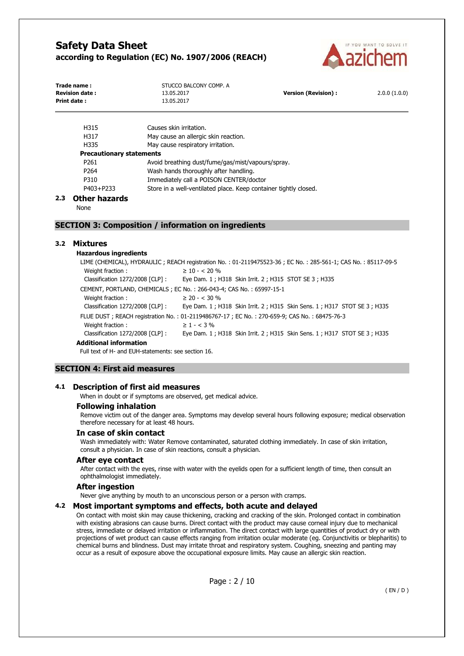

| Trade name:<br><b>Revision date:</b><br>Print date : | STUCCO BALCONY COMP. A<br>13.05.2017<br>13.05.2017 | <b>Version (Revision):</b> | 2.0.0(1.0.0) |
|------------------------------------------------------|----------------------------------------------------|----------------------------|--------------|
|                                                      |                                                    |                            |              |

| H315                            | Causes skin irritation.                                          |  |  |
|---------------------------------|------------------------------------------------------------------|--|--|
| H317                            | May cause an allergic skin reaction.                             |  |  |
| H335                            | May cause respiratory irritation.                                |  |  |
| <b>Precautionary statements</b> |                                                                  |  |  |
| P <sub>261</sub>                | Avoid breathing dust/fume/gas/mist/vapours/spray.                |  |  |
| P <sub>264</sub>                | Wash hands thoroughly after handling.                            |  |  |
| P310                            | Immediately call a POISON CENTER/doctor                          |  |  |
| P403+P233                       | Store in a well-ventilated place. Keep container tightly closed. |  |  |
|                                 |                                                                  |  |  |

### **2.3 Other hazards**

None

## **SECTION 3: Composition / information on ingredients**

### **3.2 Mixtures**

### **Hazardous ingredients**

LIME (CHEMICAL), HYDRAULIC ; REACH registration No. : 01-2119475523-36 ; EC No. : 285-561-1; CAS No. : 85117-09-5 Weight fraction :  $\geq 10 - < 20 \%$ Classification 1272/2008 [CLP] : Eye Dam. 1 ; H318 Skin Irrit. 2 ; H315 STOT SE 3 ; H335 CEMENT, PORTLAND, CHEMICALS ; EC No. : 266-043-4; CAS No. : 65997-15-1 Weight fraction :  $\geq 20 - < 30 \%$ Classification 1272/2008 [CLP] : Eye Dam. 1 ; H318 Skin Irrit. 2 ; H315 Skin Sens. 1 ; H317 STOT SE 3 ; H335 FLUE DUST ; REACH registration No. : 01-2119486767-17 ; EC No. : 270-659-9; CAS No. : 68475-76-3 Weight fraction :  $\geq 1 - 3\%$ Classification 1272/2008 [CLP] : Eye Dam. 1 ; H318 Skin Irrit. 2 ; H315 Skin Sens. 1 ; H317 STOT SE 3 ; H335 **Additional information**

Full text of H- and EUH-statements: see section 16.

# **SECTION 4: First aid measures**

### **4.1 Description of first aid measures**

When in doubt or if symptoms are observed, get medical advice.

### **Following inhalation**

Remove victim out of the danger area. Symptoms may develop several hours following exposure; medical observation therefore necessary for at least 48 hours.

### **In case of skin contact**

Wash immediately with: Water Remove contaminated, saturated clothing immediately. In case of skin irritation, consult a physician. In case of skin reactions, consult a physician.

#### **After eye contact**

After contact with the eyes, rinse with water with the eyelids open for a sufficient length of time, then consult an ophthalmologist immediately.

#### **After ingestion**

Never give anything by mouth to an unconscious person or a person with cramps.

### **4.2 Most important symptoms and effects, both acute and delayed**

On contact with moist skin may cause thickening, cracking and cracking of the skin. Prolonged contact in combination with existing abrasions can cause burns. Direct contact with the product may cause corneal injury due to mechanical stress, immediate or delayed irritation or inflammation. The direct contact with large quantities of product dry or with projections of wet product can cause effects ranging from irritation ocular moderate (eg. Conjunctivitis or blepharitis) to chemical burns and blindness. Dust may irritate throat and respiratory system. Coughing, sneezing and panting may occur as a result of exposure above the occupational exposure limits. May cause an allergic skin reaction.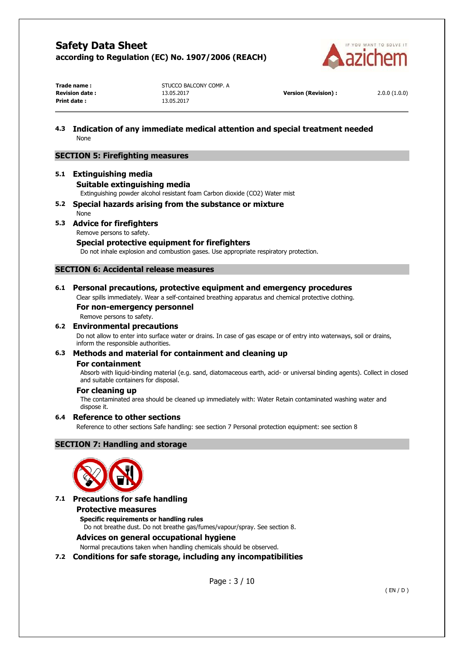

| Trade name:           |  |
|-----------------------|--|
| <b>Revision date:</b> |  |
| Print date:           |  |

**STUCCO BALCONY COMP. A Revision date :** 13.05.2017 **Version (Revision) :** 2.0.0 (1.0.0) **Print date :** 13.05.2017

## **4.3 Indication of any immediate medical attention and special treatment needed**  None

## **SECTION 5: Firefighting measures**

# **5.1 Extinguishing media Suitable extinguishing media**

Extinguishing powder alcohol resistant foam Carbon dioxide (CO2) Water mist

**5.2 Special hazards arising from the substance or mixture**  None

## **5.3 Advice for firefighters**

Remove persons to safety.

## **Special protective equipment for firefighters**

Do not inhale explosion and combustion gases. Use appropriate respiratory protection.

## **SECTION 6: Accidental release measures**

## **6.1 Personal precautions, protective equipment and emergency procedures**

Clear spills immediately. Wear a self-contained breathing apparatus and chemical protective clothing.

## **For non-emergency personnel**

Remove persons to safety.

## **6.2 Environmental precautions**

Do not allow to enter into surface water or drains. In case of gas escape or of entry into waterways, soil or drains, inform the responsible authorities.

# **6.3 Methods and material for containment and cleaning up**

### **For containment**

Absorb with liquid-binding material (e.g. sand, diatomaceous earth, acid- or universal binding agents). Collect in closed and suitable containers for disposal.

## **For cleaning up**

The contaminated area should be cleaned up immediately with: Water Retain contaminated washing water and dispose it.

## **6.4 Reference to other sections**

Reference to other sections Safe handling: see section 7 Personal protection equipment: see section 8

## **SECTION 7: Handling and storage**



## **7.1 Precautions for safe handling**

## **Protective measures**

**Specific requirements or handling rules** 

Do not breathe dust. Do not breathe gas/fumes/vapour/spray. See section 8.

## **Advices on general occupational hygiene**

Normal precautions taken when handling chemicals should be observed.

## **7.2 Conditions for safe storage, including any incompatibilities**

Page : 3 / 10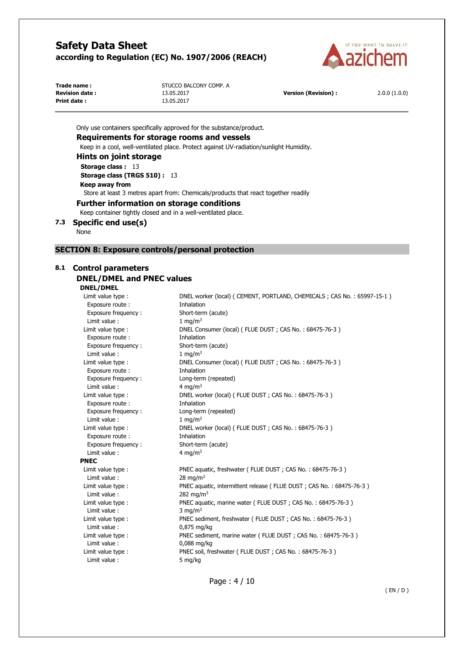

| Trade name:           |  |  |
|-----------------------|--|--|
| <b>Revision date:</b> |  |  |
| Print date:           |  |  |

**STUCCO BALCONY COMP. A Revision (Revision) : 2.0.0 (1.0.0) Version (Revision) :** 2.0.0 (1.0.0) **Print date :** 13.05.2017

Only use containers specifically approved for the substance/product. **Requirements for storage rooms and vessels**  Keep in a cool, well-ventilated place. Protect against UV-radiation/sunlight Humidity. **Hints on joint storage Storage class :** 13 **Storage class (TRGS 510) :** 13 **Keep away from** 

Store at least 3 metres apart from: Chemicals/products that react together readily

### **Further information on storage conditions**

Keep container tightly closed and in a well-ventilated place.

**7.3 Specific end use(s)** 

None

## **SECTION 8: Exposure controls/personal protection**

# **8.1 Control parameters**

# **DNEL/DMEL and PNEC values**

## **DNEL/DMEL**

| Limit value type :  | DNEL worker (local) ( CEMENT, PORTLAND, CHEMICALS; CAS No.: 65997-15-1) |
|---------------------|-------------------------------------------------------------------------|
| Exposure route:     | Inhalation                                                              |
| Exposure frequency: | Short-term (acute)                                                      |
| Limit value:        | 1 mg/m $3$                                                              |
| Limit value type :  | DNEL Consumer (local) (FLUE DUST; CAS No.: 68475-76-3)                  |
| Exposure route :    | Inhalation                                                              |
| Exposure frequency: | Short-term (acute)                                                      |
| Limit value:        | 1 mg/m $3$                                                              |
| Limit value type :  | DNEL Consumer (local) (FLUE DUST; CAS No.: 68475-76-3)                  |
| Exposure route:     | Inhalation                                                              |
| Exposure frequency: | Long-term (repeated)                                                    |
| Limit value:        | 4 mg/m <sup>3</sup>                                                     |
| Limit value type :  | DNEL worker (local) (FLUE DUST; CAS No.: 68475-76-3)                    |
| Exposure route :    | Inhalation                                                              |
| Exposure frequency: | Long-term (repeated)                                                    |
| Limit value:        | 1 mg/m $3$                                                              |
| Limit value type :  | DNEL worker (local) (FLUE DUST; CAS No.: 68475-76-3)                    |
| Exposure route :    | Inhalation                                                              |
| Exposure frequency: | Short-term (acute)                                                      |
| Limit value:        | 4 mg/m <sup>3</sup>                                                     |
| <b>PNEC</b>         |                                                                         |
| Limit value type :  | PNEC aquatic, freshwater (FLUE DUST; CAS No.: 68475-76-3)               |
| Limit value:        | 28 mg/m $3$                                                             |
| Limit value type :  | PNEC aquatic, intermittent release (FLUE DUST; CAS No.: 68475-76-3)     |
| Limit value:        | 282 mg/m <sup>3</sup>                                                   |
| Limit value type :  | PNEC aquatic, marine water (FLUE DUST ; CAS No.: 68475-76-3)            |
| Limit value:        | 3 mg/m <sup>3</sup>                                                     |
| Limit value type :  | PNEC sediment, freshwater (FLUE DUST; CAS No.: 68475-76-3)              |
| Limit value:        | 0,875 mg/kg                                                             |
| Limit value type :  | PNEC sediment, marine water (FLUE DUST; CAS No.: 68475-76-3)            |
| Limit value:        | 0,088 mg/kg                                                             |
| Limit value type :  | PNEC soil, freshwater (FLUE DUST; CAS No.: 68475-76-3)                  |
| Limit value:        | 5 mg/kg                                                                 |

Page : 4 / 10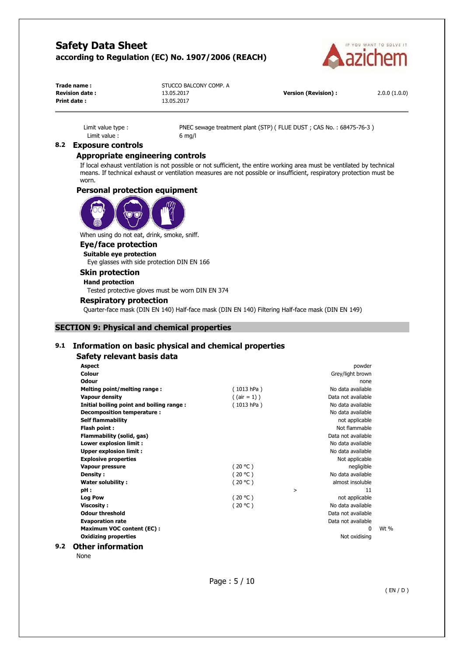

| Trade name:           | STUCCO BALCONY COMP. A |                            |              |
|-----------------------|------------------------|----------------------------|--------------|
| <b>Revision date:</b> | 13.05.2017             | <b>Version (Revision):</b> | 2.0.0(1.0.0) |
| Print date:           | 13.05.2017             |                            |              |

Limit value : 6 mg/l

Limit value type : PNEC sewage treatment plant (STP) (FLUE DUST ; CAS No. : 68475-76-3)

## **8.2 Exposure controls**

## **Appropriate engineering controls**

If local exhaust ventilation is not possible or not sufficient, the entire working area must be ventilated by technical means. If technical exhaust or ventilation measures are not possible or insufficient, respiratory protection must be worn.

### **Personal protection equipment**



When using do not eat, drink, smoke, sniff.

# **Eye/face protection**

**Suitable eye protection**  Eye glasses with side protection DIN EN 166

# **Skin protection**

## **Hand protection**

Tested protective gloves must be worn DIN EN 374

### **Respiratory protection**

Quarter-face mask (DIN EN 140) Half-face mask (DIN EN 140) Filtering Half-face mask (DIN EN 149)

## **SECTION 9: Physical and chemical properties**

## **9.1 Information on basic physical and chemical properties**

### **Safety relevant basis data**

| <b>Aspect</b>                            |                 | powder             |        |
|------------------------------------------|-----------------|--------------------|--------|
| Colour                                   |                 | Grey/light brown   |        |
| Odour                                    |                 | none               |        |
| Melting point/melting range:             | (1013 hPa)      | No data available  |        |
| <b>Vapour density</b>                    | $($ (air = 1) ) | Data not available |        |
| Initial boiling point and boiling range: | (1013 hPa)      | No data available  |        |
| Decomposition temperature :              |                 | No data available  |        |
| <b>Self flammability</b>                 |                 | not applicable     |        |
| Flash point:                             |                 | Not flammable      |        |
| Flammability (solid, gas)                |                 | Data not available |        |
| Lower explosion limit :                  |                 | No data available  |        |
| <b>Upper explosion limit:</b>            |                 | No data available  |        |
| <b>Explosive properties</b>              |                 | Not applicable     |        |
| <b>Vapour pressure</b>                   | (20 °C)         | negligible         |        |
| Density:                                 | (20 °C)         | No data available  |        |
| Water solubility:                        | (20 °C)         | almost insoluble   |        |
| pH:                                      |                 | 11<br>>            |        |
| <b>Log Pow</b>                           | (20 °C)         | not applicable     |        |
| <b>Viscosity:</b>                        | (20 °C)         | No data available  |        |
| <b>Odour threshold</b>                   |                 | Data not available |        |
| <b>Evaporation rate</b>                  |                 | Data not available |        |
| <b>Maximum VOC content (EC):</b>         |                 | $\Omega$           | Wt $%$ |
| <b>Oxidizing properties</b>              |                 | Not oxidising      |        |
| )ther information                        |                 |                    |        |

# **9.2 Other information**

None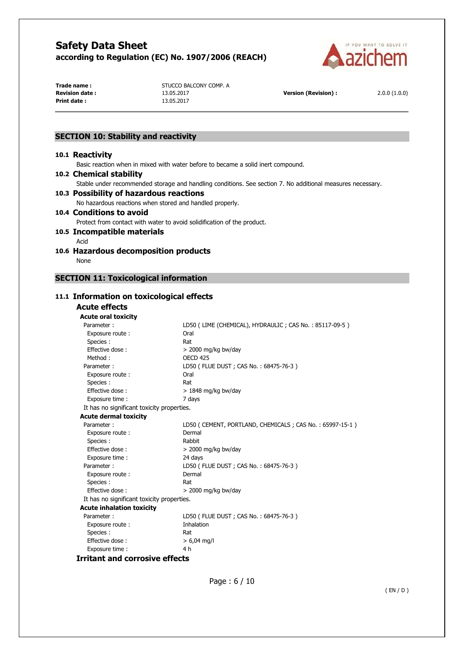

**Print date :** 13.05.2017

**Trade name :** STUCCO BALCONY COMP. A **Revision date :** 13.05.2017 **Version (Revision) :** 2.0.0 (1.0.0)

## **SECTION 10: Stability and reactivity**

### **10.1 Reactivity**

Basic reaction when in mixed with water before to became a solid inert compound.

### **10.2 Chemical stability**

Stable under recommended storage and handling conditions. See section 7. No additional measures necessary.

## **10.3 Possibility of hazardous reactions**

No hazardous reactions when stored and handled properly.

## **10.4 Conditions to avoid**

Protect from contact with water to avoid solidification of the product.

# **10.5 Incompatible materials**

Acid **10.6 Hazardous decomposition products** 

None

# **SECTION 11: Toxicological information**

## **11.1 Information on toxicological effects**

#### **Acute effects Acute oral toxicity**

| LD50 (LIME (CHEMICAL), HYDRAULIC; CAS No.: 85117-09-5)  |
|---------------------------------------------------------|
| Oral                                                    |
| Rat                                                     |
| $>$ 2000 mg/kg bw/day                                   |
| <b>OFCD 425</b>                                         |
| LD50 (FLUE DUST; CAS No.: 68475-76-3)                   |
| Oral                                                    |
| Rat                                                     |
| $> 1848$ mg/kg bw/day                                   |
| 7 days                                                  |
| It has no significant toxicity properties.              |
|                                                         |
| LD50 (CEMENT, PORTLAND, CHEMICALS; CAS No.: 65997-15-1) |
| Dermal                                                  |
| Rabbit                                                  |
| $>$ 2000 mg/kg bw/day                                   |
| 24 days                                                 |
| LD50 (FLUE DUST; CAS No.: 68475-76-3)                   |
| Dermal                                                  |
| Rat                                                     |
| $>$ 2000 mg/kg bw/day                                   |
| It has no significant toxicity properties.              |
|                                                         |
| LD50 (FLUE DUST; CAS No.: 68475-76-3)                   |
| Inhalation                                              |
| Rat                                                     |
| $> 6,04$ mg/l                                           |
| 4 h                                                     |
|                                                         |

**Irritant and corrosive effects**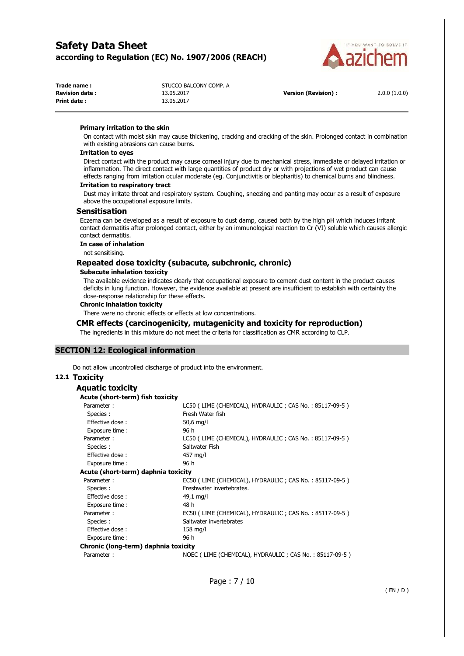

| Trade name :           | STUCCO BALCONY COMP. A |                            |              |
|------------------------|------------------------|----------------------------|--------------|
| <b>Revision date :</b> | 13.05.2017             | <b>Version (Revision):</b> | 2.0.0(1.0.0) |
| Print date:            | 13.05.2017             |                            |              |

#### **Primary irritation to the skin**

On contact with moist skin may cause thickening, cracking and cracking of the skin. Prolonged contact in combination with existing abrasions can cause burns.

### **Irritation to eyes**

Direct contact with the product may cause corneal injury due to mechanical stress, immediate or delayed irritation or inflammation. The direct contact with large quantities of product dry or with projections of wet product can cause effects ranging from irritation ocular moderate (eg. Conjunctivitis or blepharitis) to chemical burns and blindness.

#### **Irritation to respiratory tract**

Dust may irritate throat and respiratory system. Coughing, sneezing and panting may occur as a result of exposure above the occupational exposure limits.

#### **Sensitisation**

Eczema can be developed as a result of exposure to dust damp, caused both by the high pH which induces irritant contact dermatitis after prolonged contact, either by an immunological reaction to Cr (VI) soluble which causes allergic contact dermatitis.

#### **In case of inhalation**

not sensitising.

## **Repeated dose toxicity (subacute, subchronic, chronic)**

#### **Subacute inhalation toxicity**

The available evidence indicates clearly that occupational exposure to cement dust content in the product causes deficits in lung function. However, the evidence available at present are insufficient to establish with certainty the dose-response relationship for these effects.

#### **Chronic inhalation toxicity**

There were no chronic effects or effects at low concentrations.

### **CMR effects (carcinogenicity, mutagenicity and toxicity for reproduction)**

The ingredients in this mixture do not meet the criteria for classification as CMR according to CLP.

## **SECTION 12: Ecological information**

Do not allow uncontrolled discharge of product into the environment.

### **12.1 Toxicity**

| <b>Aquatic toxicity</b>              |                                                        |  |
|--------------------------------------|--------------------------------------------------------|--|
| Acute (short-term) fish toxicity     |                                                        |  |
| Parameter:                           | LC50 (LIME (CHEMICAL), HYDRAULIC; CAS No.: 85117-09-5) |  |
| Species :                            | Fresh Water fish                                       |  |
| Effective dose:                      | $50,6$ mg/l                                            |  |
| Exposure time:                       | 96 h                                                   |  |
| Parameter:                           | LC50 (LIME (CHEMICAL), HYDRAULIC; CAS No.: 85117-09-5) |  |
| Species :                            | Saltwater Fish                                         |  |
| Effective dose:                      | 457 mg/l                                               |  |
| Exposure time :                      | 96 h                                                   |  |
| Acute (short-term) daphnia toxicity  |                                                        |  |
| Parameter:                           | EC50 (LIME (CHEMICAL), HYDRAULIC; CAS No.: 85117-09-5) |  |
| Species :                            | Freshwater invertebrates.                              |  |
| Effective dose:                      | 49,1 mg/l                                              |  |
| Exposure time:                       | 48 h                                                   |  |
| Parameter:                           | EC50 (LIME (CHEMICAL), HYDRAULIC; CAS No.: 85117-09-5) |  |
| Species :                            | Saltwater invertebrates                                |  |
| Effective dose:                      | $158$ mg/l                                             |  |
| Exposure time :                      | 96 h                                                   |  |
| Chronic (long-term) daphnia toxicity |                                                        |  |
| Parameter:                           | NOEC (LIME (CHEMICAL), HYDRAULIC; CAS No.: 85117-09-5) |  |

Page : 7 / 10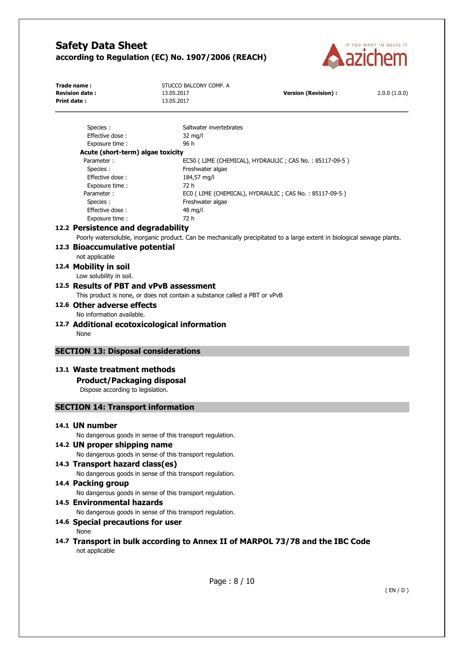

| Trade name:<br><b>Revision date:</b> | STUCCO BALCONY COMP. A<br>13.05.2017 | Version (Revision) : | 2.0.0(1.0.0) |
|--------------------------------------|--------------------------------------|----------------------|--------------|
| <b>Print date:</b>                   | 13.05.2017                           |                      |              |

| Species :                         | Saltwater invertebrates                                |
|-----------------------------------|--------------------------------------------------------|
| Effective dose:                   | 32 mg/l                                                |
| Exposure time:                    | 96 h                                                   |
| Acute (short-term) algae toxicity |                                                        |
| Parameter:                        | EC50 (LIME (CHEMICAL), HYDRAULIC; CAS No.: 85117-09-5) |
| Species :                         | Freshwater algae                                       |
| Effective dose:                   | 184,57 ma/l                                            |
| Exposure time:                    | 72 h                                                   |
| Parameter:                        | ECO (LIME (CHEMICAL), HYDRAULIC; CAS No.: 85117-09-5)  |
| Species :                         | Freshwater algae                                       |
| Effective dose:                   | 48 mg/l                                                |
| Exposure time:                    | 72 h                                                   |
|                                   |                                                        |

## **12.2 Persistence and degradability**

Poorly watersoluble, inorganic product. Can be mechanically precipitated to a large extent in biological sewage plants.

- **12.3 Bioaccumulative potential**
- not applicable
- **12.4 Mobility in soil**

Low solubility in soil.

## **12.5 Results of PBT and vPvB assessment**

This product is none, or does not contain a substance called a PBT or vPvB

**12.6 Other adverse effects** 

No information available.

**12.7 Additional ecotoxicological information**  None

## **SECTION 13: Disposal considerations**

## **13.1 Waste treatment methods**

**Product/Packaging disposal** 

Dispose according to legislation.

# **SECTION 14: Transport information**

### **14.1 UN number**

No dangerous goods in sense of this transport regulation.

## **14.2 UN proper shipping name**

No dangerous goods in sense of this transport regulation.

# **14.3 Transport hazard class(es)**  No dangerous goods in sense of this transport regulation. **14.4 Packing group**

No dangerous goods in sense of this transport regulation.

## **14.5 Environmental hazards**

No dangerous goods in sense of this transport regulation.

## **14.6 Special precautions for user**

None

# **14.7 Transport in bulk according to Annex II of MARPOL 73/78 and the IBC Code**  not applicable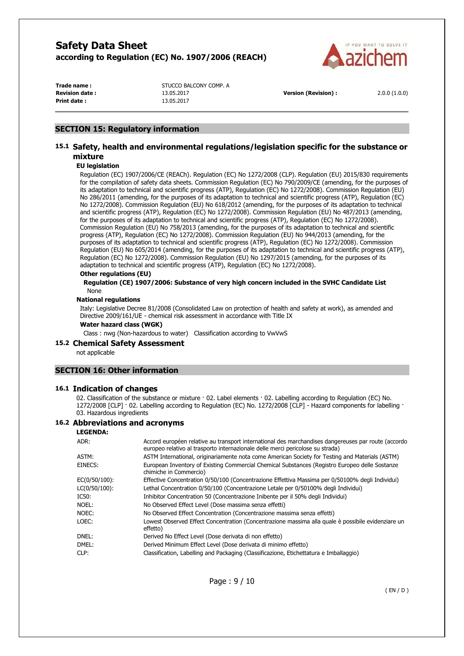

**Print date :** 13.05.2017

**Trade name :** STUCCO BALCONY COMP. A **Revision date :** 13.05.2017 **Version (Revision) :** 2.0.0 (1.0.0)

# **SECTION 15: Regulatory information**

# **15.1 Safety, health and environmental regulations/legislation specific for the substance or mixture**

### **EU legislation**

Regulation (EC) 1907/2006/CE (REACh). Regulation (EC) No 1272/2008 (CLP). Regulation (EU) 2015/830 requirements for the compilation of safety data sheets. Commission Regulation (EC) No 790/2009/CE (amending, for the purposes of its adaptation to technical and scientific progress (ATP), Regulation (EC) No 1272/2008). Commission Regulation (EU) No 286/2011 (amending, for the purposes of its adaptation to technical and scientific progress (ATP), Regulation (EC) No 1272/2008). Commission Regulation (EU) No 618/2012 (amending, for the purposes of its adaptation to technical and scientific progress (ATP), Regulation (EC) No 1272/2008). Commission Regulation (EU) No 487/2013 (amending, for the purposes of its adaptation to technical and scientific progress (ATP), Regulation (EC) No 1272/2008). Commission Regulation (EU) No 758/2013 (amending, for the purposes of its adaptation to technical and scientific progress (ATP), Regulation (EC) No 1272/2008). Commission Regulation (EU) No 944/2013 (amending, for the purposes of its adaptation to technical and scientific progress (ATP), Regulation (EC) No 1272/2008). Commission Regulation (EU) No 605/2014 (amending, for the purposes of its adaptation to technical and scientific progress (ATP), Regulation (EC) No 1272/2008). Commission Regulation (EU) No 1297/2015 (amending, for the purposes of its adaptation to technical and scientific progress (ATP), Regulation (EC) No 1272/2008).

### **Other regulations (EU)**

#### **Regulation (CE) 1907/2006: Substance of very high concern included in the SVHC Candidate List**  None

### **National regulations**

Italy: Legislative Decree 81/2008 (Consolidated Law on protection of health and safety at work), as amended and Directive 2009/161/UE - chemical risk assessment in accordance with Title IX

#### **Water hazard class (WGK)**

Class : nwg (Non-hazardous to water) Classification according to VwVwS

#### **15.2 Chemical Safety Assessment**

not applicable

## **SECTION 16: Other information**

### **16.1 Indication of changes**

02. Classification of the substance or mixture  $\cdot$  02. Label elements  $\cdot$  02. Labelling according to Regulation (EC) No. 1272/2008 [CLP] · 02. Labelling according to Regulation (EC) No. 1272/2008 [CLP] - Hazard components for labelling · 03. Hazardous ingredients

### **16.2 Abbreviations and acronyms**

### **LEGENDA:** ADR: Accord européen relative au transport international des marchandises dangereuses par route (accordo europeo relativo al trasporto internazionale delle merci pericolose su strada) ASTM: ASTM International, originariamente nota come American Society for Testing and Materials (ASTM) EINECS: European Inventory of Existing Commercial Chemical Substances (Registro Europeo delle Sostanze chimiche in Commercio) EC(0/50/100): Effective Concentration 0/50/100 (Concentrazione Effettiva Massima per 0/50100% degli Individui) LC(0/50/100): Lethal Concentration 0/50/100 (Concentrazione Letale per 0/50100% degli Individui) IC50: Inhibitor Concentration 50 (Concentrazione Inibente per il 50% degli Individui) NOEL: No Observed Effect Level (Dose massima senza effetti) NOEC: No Observed Effect Concentration (Concentrazione massima senza effetti) LOEC: Lowest Observed Effect Concentration (Concentrazione massima alla quale è possibile evidenziare un effetto) DNEL: Derived No Effect Level (Dose derivata di non effetto) DMEL: Derived Minimum Effect Level (Dose derivata di minimo effetto) CLP: Classification, Labelling and Packaging (Classificazione, Etichettatura e Imballaggio)